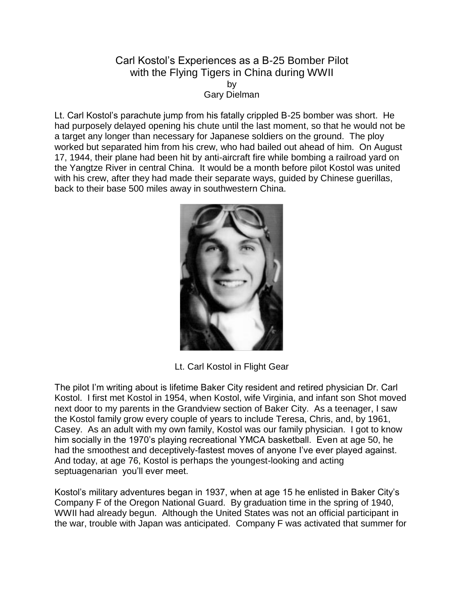## Carl Kostol's Experiences as a B-25 Bomber Pilot with the Flying Tigers in China during WWII by Gary Dielman

Lt. Carl Kostol's parachute jump from his fatally crippled B-25 bomber was short. He had purposely delayed opening his chute until the last moment, so that he would not be a target any longer than necessary for Japanese soldiers on the ground. The ploy worked but separated him from his crew, who had bailed out ahead of him. On August 17, 1944, their plane had been hit by anti-aircraft fire while bombing a railroad yard on the Yangtze River in central China. It would be a month before pilot Kostol was united with his crew, after they had made their separate ways, guided by Chinese guerillas, back to their base 500 miles away in southwestern China.



Lt. Carl Kostol in Flight Gear

The pilot I'm writing about is lifetime Baker City resident and retired physician Dr. Carl Kostol. I first met Kostol in 1954, when Kostol, wife Virginia, and infant son Shot moved next door to my parents in the Grandview section of Baker City. As a teenager, I saw the Kostol family grow every couple of years to include Teresa, Chris, and, by 1961, Casey. As an adult with my own family, Kostol was our family physician. I got to know him socially in the 1970's playing recreational YMCA basketball. Even at age 50, he had the smoothest and deceptively-fastest moves of anyone I've ever played against. And today, at age 76, Kostol is perhaps the youngest-looking and acting septuagenarian you'll ever meet.

Kostol's military adventures began in 1937, when at age 15 he enlisted in Baker City's Company F of the Oregon National Guard. By graduation time in the spring of 1940, WWII had already begun. Although the United States was not an official participant in the war, trouble with Japan was anticipated. Company F was activated that summer for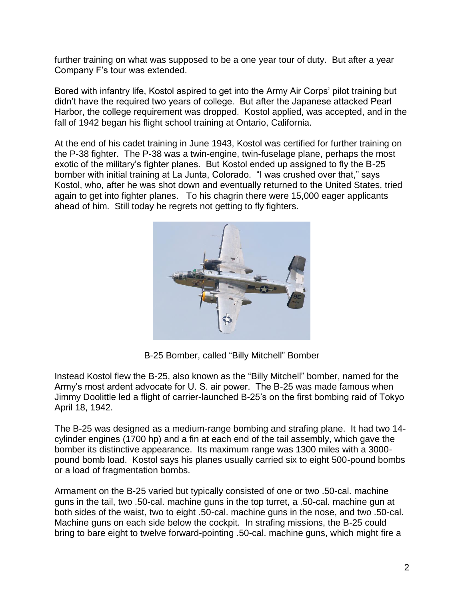further training on what was supposed to be a one year tour of duty. But after a year Company F's tour was extended.

Bored with infantry life, Kostol aspired to get into the Army Air Corps' pilot training but didn't have the required two years of college. But after the Japanese attacked Pearl Harbor, the college requirement was dropped. Kostol applied, was accepted, and in the fall of 1942 began his flight school training at Ontario, California.

At the end of his cadet training in June 1943, Kostol was certified for further training on the P-38 fighter. The P-38 was a twin-engine, twin-fuselage plane, perhaps the most exotic of the military's fighter planes. But Kostol ended up assigned to fly the B-25 bomber with initial training at La Junta, Colorado. "I was crushed over that," says Kostol, who, after he was shot down and eventually returned to the United States, tried again to get into fighter planes. To his chagrin there were 15,000 eager applicants ahead of him. Still today he regrets not getting to fly fighters.



B-25 Bomber, called "Billy Mitchell" Bomber

Instead Kostol flew the B-25, also known as the "Billy Mitchell" bomber, named for the Army's most ardent advocate for U. S. air power. The B-25 was made famous when Jimmy Doolittle led a flight of carrier-launched B-25's on the first bombing raid of Tokyo April 18, 1942.

The B-25 was designed as a medium-range bombing and strafing plane. It had two 14 cylinder engines (1700 hp) and a fin at each end of the tail assembly, which gave the bomber its distinctive appearance. Its maximum range was 1300 miles with a 3000 pound bomb load. Kostol says his planes usually carried six to eight 500-pound bombs or a load of fragmentation bombs.

Armament on the B-25 varied but typically consisted of one or two .50-cal. machine guns in the tail, two .50-cal. machine guns in the top turret, a .50-cal. machine gun at both sides of the waist, two to eight .50-cal. machine guns in the nose, and two .50-cal. Machine guns on each side below the cockpit. In strafing missions, the B-25 could bring to bare eight to twelve forward-pointing .50-cal. machine guns, which might fire a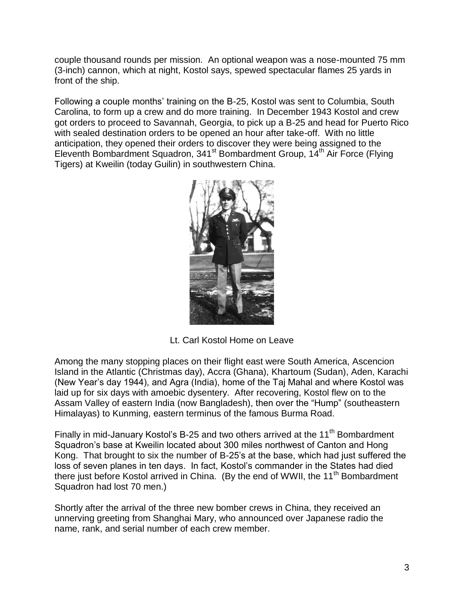couple thousand rounds per mission. An optional weapon was a nose-mounted 75 mm (3-inch) cannon, which at night, Kostol says, spewed spectacular flames 25 yards in front of the ship.

Following a couple months' training on the B-25, Kostol was sent to Columbia, South Carolina, to form up a crew and do more training. In December 1943 Kostol and crew got orders to proceed to Savannah, Georgia, to pick up a B-25 and head for Puerto Rico with sealed destination orders to be opened an hour after take-off. With no little anticipation, they opened their orders to discover they were being assigned to the Eleventh Bombardment Squadron, 341<sup>st</sup> Bombardment Group, 14<sup>th</sup> Air Force (Flying Tigers) at Kweilin (today Guilin) in southwestern China.



Lt. Carl Kostol Home on Leave

Among the many stopping places on their flight east were South America, Ascencion Island in the Atlantic (Christmas day), Accra (Ghana), Khartoum (Sudan), Aden, Karachi (New Year's day 1944), and Agra (India), home of the Taj Mahal and where Kostol was laid up for six days with amoebic dysentery. After recovering, Kostol flew on to the Assam Valley of eastern India (now Bangladesh), then over the "Hump" (southeastern Himalayas) to Kunming, eastern terminus of the famous Burma Road.

Finally in mid-January Kostol's B-25 and two others arrived at the 11<sup>th</sup> Bombardment Squadron's base at Kweilin located about 300 miles northwest of Canton and Hong Kong. That brought to six the number of B-25's at the base, which had just suffered the loss of seven planes in ten days. In fact, Kostol's commander in the States had died there just before Kostol arrived in China. (By the end of WWII, the 11<sup>th</sup> Bombardment Squadron had lost 70 men.)

Shortly after the arrival of the three new bomber crews in China, they received an unnerving greeting from Shanghai Mary, who announced over Japanese radio the name, rank, and serial number of each crew member.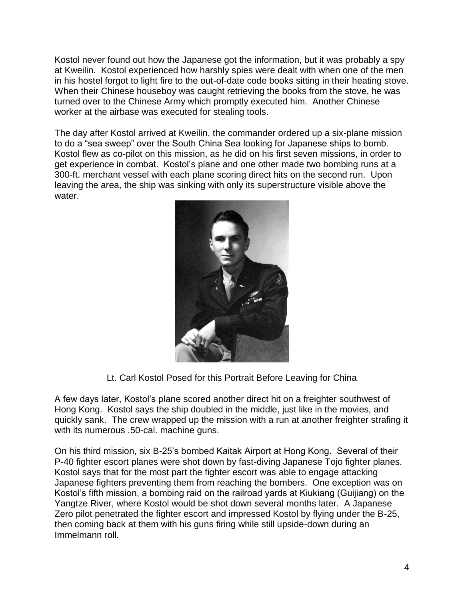Kostol never found out how the Japanese got the information, but it was probably a spy at Kweilin. Kostol experienced how harshly spies were dealt with when one of the men in his hostel forgot to light fire to the out-of-date code books sitting in their heating stove. When their Chinese houseboy was caught retrieving the books from the stove, he was turned over to the Chinese Army which promptly executed him. Another Chinese worker at the airbase was executed for stealing tools.

The day after Kostol arrived at Kweilin, the commander ordered up a six-plane mission to do a "sea sweep" over the South China Sea looking for Japanese ships to bomb. Kostol flew as co-pilot on this mission, as he did on his first seven missions, in order to get experience in combat. Kostol's plane and one other made two bombing runs at a 300-ft. merchant vessel with each plane scoring direct hits on the second run. Upon leaving the area, the ship was sinking with only its superstructure visible above the water.



Lt. Carl Kostol Posed for this Portrait Before Leaving for China

A few days later, Kostol's plane scored another direct hit on a freighter southwest of Hong Kong. Kostol says the ship doubled in the middle, just like in the movies, and quickly sank. The crew wrapped up the mission with a run at another freighter strafing it with its numerous .50-cal. machine guns.

On his third mission, six B-25's bombed Kaitak Airport at Hong Kong. Several of their P-40 fighter escort planes were shot down by fast-diving Japanese Tojo fighter planes. Kostol says that for the most part the fighter escort was able to engage attacking Japanese fighters preventing them from reaching the bombers. One exception was on Kostol's fifth mission, a bombing raid on the railroad yards at Kiukiang (Guijiang) on the Yangtze River, where Kostol would be shot down several months later. A Japanese Zero pilot penetrated the fighter escort and impressed Kostol by flying under the B-25, then coming back at them with his guns firing while still upside-down during an Immelmann roll.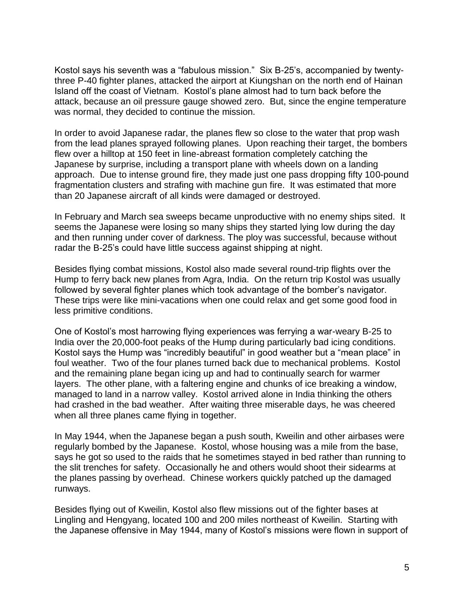Kostol says his seventh was a "fabulous mission." Six B-25's, accompanied by twentythree P-40 fighter planes, attacked the airport at Kiungshan on the north end of Hainan Island off the coast of Vietnam. Kostol's plane almost had to turn back before the attack, because an oil pressure gauge showed zero. But, since the engine temperature was normal, they decided to continue the mission.

In order to avoid Japanese radar, the planes flew so close to the water that prop wash from the lead planes sprayed following planes. Upon reaching their target, the bombers flew over a hilltop at 150 feet in line-abreast formation completely catching the Japanese by surprise, including a transport plane with wheels down on a landing approach. Due to intense ground fire, they made just one pass dropping fifty 100-pound fragmentation clusters and strafing with machine gun fire. It was estimated that more than 20 Japanese aircraft of all kinds were damaged or destroyed.

In February and March sea sweeps became unproductive with no enemy ships sited. It seems the Japanese were losing so many ships they started lying low during the day and then running under cover of darkness. The ploy was successful, because without radar the B-25's could have little success against shipping at night.

Besides flying combat missions, Kostol also made several round-trip flights over the Hump to ferry back new planes from Agra, India. On the return trip Kostol was usually followed by several fighter planes which took advantage of the bomber's navigator. These trips were like mini-vacations when one could relax and get some good food in less primitive conditions.

One of Kostol's most harrowing flying experiences was ferrying a war-weary B-25 to India over the 20,000-foot peaks of the Hump during particularly bad icing conditions. Kostol says the Hump was "incredibly beautiful" in good weather but a "mean place" in foul weather. Two of the four planes turned back due to mechanical problems. Kostol and the remaining plane began icing up and had to continually search for warmer layers. The other plane, with a faltering engine and chunks of ice breaking a window, managed to land in a narrow valley. Kostol arrived alone in India thinking the others had crashed in the bad weather. After waiting three miserable days, he was cheered when all three planes came flying in together.

In May 1944, when the Japanese began a push south, Kweilin and other airbases were regularly bombed by the Japanese. Kostol, whose housing was a mile from the base, says he got so used to the raids that he sometimes stayed in bed rather than running to the slit trenches for safety. Occasionally he and others would shoot their sidearms at the planes passing by overhead. Chinese workers quickly patched up the damaged runways.

Besides flying out of Kweilin, Kostol also flew missions out of the fighter bases at Lingling and Hengyang, located 100 and 200 miles northeast of Kweilin. Starting with the Japanese offensive in May 1944, many of Kostol's missions were flown in support of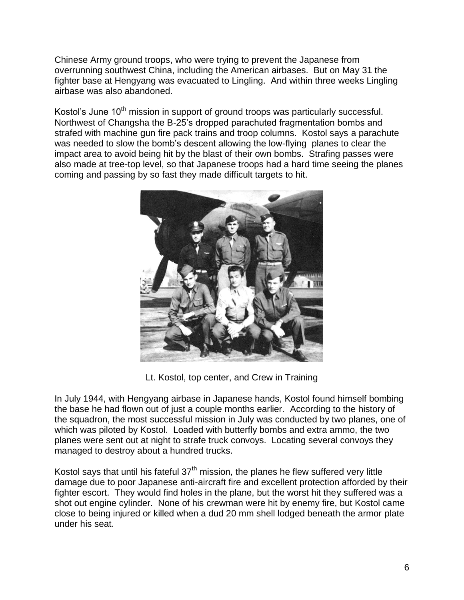Chinese Army ground troops, who were trying to prevent the Japanese from overrunning southwest China, including the American airbases. But on May 31 the fighter base at Hengyang was evacuated to Lingling. And within three weeks Lingling airbase was also abandoned.

Kostol's June 10<sup>th</sup> mission in support of ground troops was particularly successful. Northwest of Changsha the B-25's dropped parachuted fragmentation bombs and strafed with machine gun fire pack trains and troop columns. Kostol says a parachute was needed to slow the bomb's descent allowing the low-flying planes to clear the impact area to avoid being hit by the blast of their own bombs. Strafing passes were also made at tree-top level, so that Japanese troops had a hard time seeing the planes coming and passing by so fast they made difficult targets to hit.



Lt. Kostol, top center, and Crew in Training

In July 1944, with Hengyang airbase in Japanese hands, Kostol found himself bombing the base he had flown out of just a couple months earlier. According to the history of the squadron, the most successful mission in July was conducted by two planes, one of which was piloted by Kostol. Loaded with butterfly bombs and extra ammo, the two planes were sent out at night to strafe truck convoys. Locating several convoys they managed to destroy about a hundred trucks.

Kostol says that until his fateful  $37<sup>th</sup>$  mission, the planes he flew suffered very little damage due to poor Japanese anti-aircraft fire and excellent protection afforded by their fighter escort. They would find holes in the plane, but the worst hit they suffered was a shot out engine cylinder. None of his crewman were hit by enemy fire, but Kostol came close to being injured or killed when a dud 20 mm shell lodged beneath the armor plate under his seat.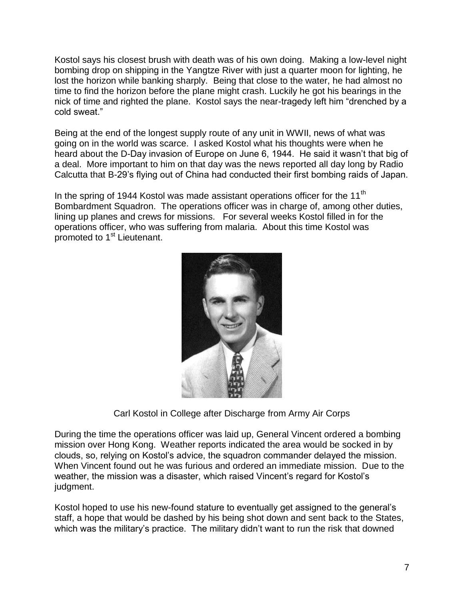Kostol says his closest brush with death was of his own doing. Making a low-level night bombing drop on shipping in the Yangtze River with just a quarter moon for lighting, he lost the horizon while banking sharply. Being that close to the water, he had almost no time to find the horizon before the plane might crash. Luckily he got his bearings in the nick of time and righted the plane. Kostol says the near-tragedy left him "drenched by a cold sweat."

Being at the end of the longest supply route of any unit in WWII, news of what was going on in the world was scarce. I asked Kostol what his thoughts were when he heard about the D-Day invasion of Europe on June 6, 1944. He said it wasn't that big of a deal. More important to him on that day was the news reported all day long by Radio Calcutta that B-29's flying out of China had conducted their first bombing raids of Japan.

In the spring of 1944 Kostol was made assistant operations officer for the 11<sup>th</sup> Bombardment Squadron. The operations officer was in charge of, among other duties, lining up planes and crews for missions. For several weeks Kostol filled in for the operations officer, who was suffering from malaria. About this time Kostol was promoted to 1<sup>st</sup> Lieutenant.



Carl Kostol in College after Discharge from Army Air Corps

During the time the operations officer was laid up, General Vincent ordered a bombing mission over Hong Kong. Weather reports indicated the area would be socked in by clouds, so, relying on Kostol's advice, the squadron commander delayed the mission. When Vincent found out he was furious and ordered an immediate mission. Due to the weather, the mission was a disaster, which raised Vincent's regard for Kostol's judgment.

Kostol hoped to use his new-found stature to eventually get assigned to the general's staff, a hope that would be dashed by his being shot down and sent back to the States, which was the military's practice. The military didn't want to run the risk that downed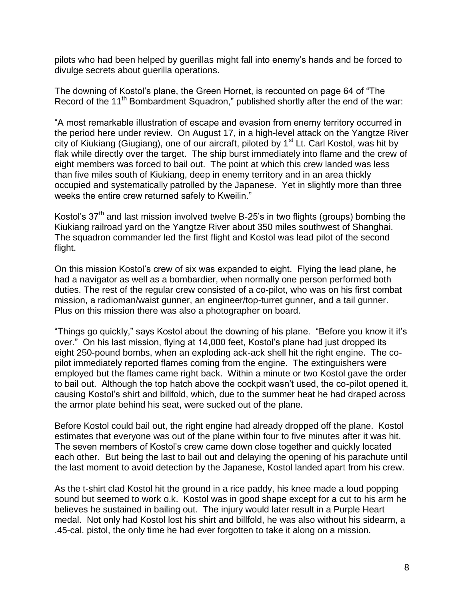pilots who had been helped by guerillas might fall into enemy's hands and be forced to divulge secrets about guerilla operations.

The downing of Kostol's plane, the Green Hornet, is recounted on page 64 of "The Record of the 11<sup>th</sup> Bombardment Squadron," published shortly after the end of the war:

"A most remarkable illustration of escape and evasion from enemy territory occurred in the period here under review. On August 17, in a high-level attack on the Yangtze River city of Kiukiang (Giugiang), one of our aircraft, piloted by  $1<sup>st</sup>$  Lt. Carl Kostol, was hit by flak while directly over the target. The ship burst immediately into flame and the crew of eight members was forced to bail out. The point at which this crew landed was less than five miles south of Kiukiang, deep in enemy territory and in an area thickly occupied and systematically patrolled by the Japanese. Yet in slightly more than three weeks the entire crew returned safely to Kweilin."

Kostol's  $37<sup>th</sup>$  and last mission involved twelve B-25's in two flights (groups) bombing the Kiukiang railroad yard on the Yangtze River about 350 miles southwest of Shanghai. The squadron commander led the first flight and Kostol was lead pilot of the second flight.

On this mission Kostol's crew of six was expanded to eight. Flying the lead plane, he had a navigator as well as a bombardier, when normally one person performed both duties. The rest of the regular crew consisted of a co-pilot, who was on his first combat mission, a radioman/waist gunner, an engineer/top-turret gunner, and a tail gunner. Plus on this mission there was also a photographer on board.

"Things go quickly," says Kostol about the downing of his plane. "Before you know it it's over." On his last mission, flying at 14,000 feet, Kostol's plane had just dropped its eight 250-pound bombs, when an exploding ack-ack shell hit the right engine. The copilot immediately reported flames coming from the engine. The extinguishers were employed but the flames came right back. Within a minute or two Kostol gave the order to bail out. Although the top hatch above the cockpit wasn't used, the co-pilot opened it, causing Kostol's shirt and billfold, which, due to the summer heat he had draped across the armor plate behind his seat, were sucked out of the plane.

Before Kostol could bail out, the right engine had already dropped off the plane. Kostol estimates that everyone was out of the plane within four to five minutes after it was hit. The seven members of Kostol's crew came down close together and quickly located each other. But being the last to bail out and delaying the opening of his parachute until the last moment to avoid detection by the Japanese, Kostol landed apart from his crew.

As the t-shirt clad Kostol hit the ground in a rice paddy, his knee made a loud popping sound but seemed to work o.k. Kostol was in good shape except for a cut to his arm he believes he sustained in bailing out. The injury would later result in a Purple Heart medal. Not only had Kostol lost his shirt and billfold, he was also without his sidearm, a .45-cal. pistol, the only time he had ever forgotten to take it along on a mission.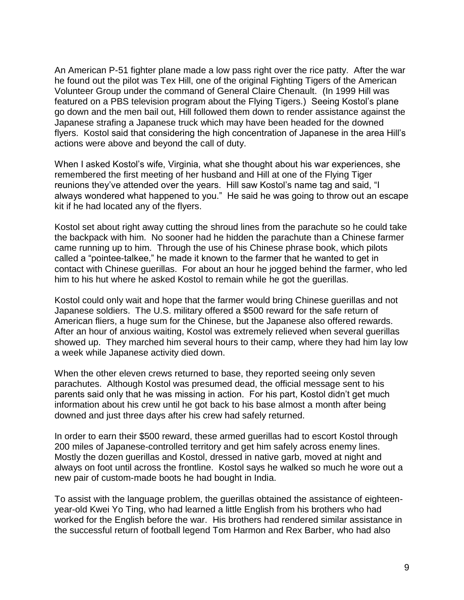An American P-51 fighter plane made a low pass right over the rice patty. After the war he found out the pilot was Tex Hill, one of the original Fighting Tigers of the American Volunteer Group under the command of General Claire Chenault. (In 1999 Hill was featured on a PBS television program about the Flying Tigers.) Seeing Kostol's plane go down and the men bail out, Hill followed them down to render assistance against the Japanese strafing a Japanese truck which may have been headed for the downed flyers. Kostol said that considering the high concentration of Japanese in the area Hill's actions were above and beyond the call of duty.

When I asked Kostol's wife, Virginia, what she thought about his war experiences, she remembered the first meeting of her husband and Hill at one of the Flying Tiger reunions they've attended over the years. Hill saw Kostol's name tag and said, "I always wondered what happened to you." He said he was going to throw out an escape kit if he had located any of the flyers.

Kostol set about right away cutting the shroud lines from the parachute so he could take the backpack with him. No sooner had he hidden the parachute than a Chinese farmer came running up to him. Through the use of his Chinese phrase book, which pilots called a "pointee-talkee," he made it known to the farmer that he wanted to get in contact with Chinese guerillas. For about an hour he jogged behind the farmer, who led him to his hut where he asked Kostol to remain while he got the guerillas.

Kostol could only wait and hope that the farmer would bring Chinese guerillas and not Japanese soldiers. The U.S. military offered a \$500 reward for the safe return of American fliers, a huge sum for the Chinese, but the Japanese also offered rewards. After an hour of anxious waiting, Kostol was extremely relieved when several guerillas showed up. They marched him several hours to their camp, where they had him lay low a week while Japanese activity died down.

When the other eleven crews returned to base, they reported seeing only seven parachutes. Although Kostol was presumed dead, the official message sent to his parents said only that he was missing in action. For his part, Kostol didn't get much information about his crew until he got back to his base almost a month after being downed and just three days after his crew had safely returned.

In order to earn their \$500 reward, these armed guerillas had to escort Kostol through 200 miles of Japanese-controlled territory and get him safely across enemy lines. Mostly the dozen guerillas and Kostol, dressed in native garb, moved at night and always on foot until across the frontline. Kostol says he walked so much he wore out a new pair of custom-made boots he had bought in India.

To assist with the language problem, the guerillas obtained the assistance of eighteenyear-old Kwei Yo Ting, who had learned a little English from his brothers who had worked for the English before the war. His brothers had rendered similar assistance in the successful return of football legend Tom Harmon and Rex Barber, who had also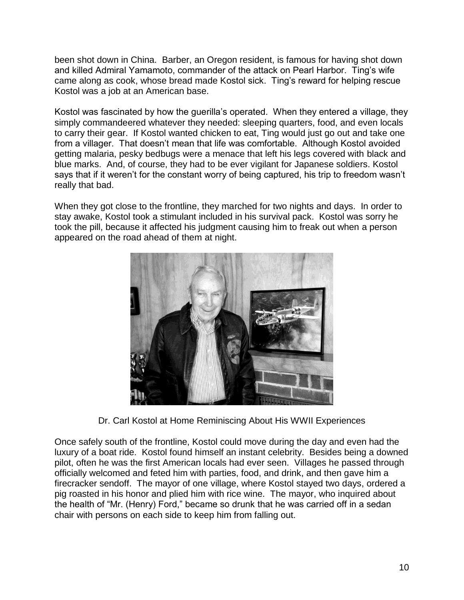been shot down in China. Barber, an Oregon resident, is famous for having shot down and killed Admiral Yamamoto, commander of the attack on Pearl Harbor. Ting's wife came along as cook, whose bread made Kostol sick. Ting's reward for helping rescue Kostol was a job at an American base.

Kostol was fascinated by how the guerilla's operated. When they entered a village, they simply commandeered whatever they needed: sleeping quarters, food, and even locals to carry their gear. If Kostol wanted chicken to eat, Ting would just go out and take one from a villager. That doesn't mean that life was comfortable. Although Kostol avoided getting malaria, pesky bedbugs were a menace that left his legs covered with black and blue marks. And, of course, they had to be ever vigilant for Japanese soldiers. Kostol says that if it weren't for the constant worry of being captured, his trip to freedom wasn't really that bad.

When they got close to the frontline, they marched for two nights and days. In order to stay awake, Kostol took a stimulant included in his survival pack. Kostol was sorry he took the pill, because it affected his judgment causing him to freak out when a person appeared on the road ahead of them at night.



Dr. Carl Kostol at Home Reminiscing About His WWII Experiences

Once safely south of the frontline, Kostol could move during the day and even had the luxury of a boat ride. Kostol found himself an instant celebrity. Besides being a downed pilot, often he was the first American locals had ever seen. Villages he passed through officially welcomed and feted him with parties, food, and drink, and then gave him a firecracker sendoff. The mayor of one village, where Kostol stayed two days, ordered a pig roasted in his honor and plied him with rice wine. The mayor, who inquired about the health of "Mr. (Henry) Ford," became so drunk that he was carried off in a sedan chair with persons on each side to keep him from falling out.